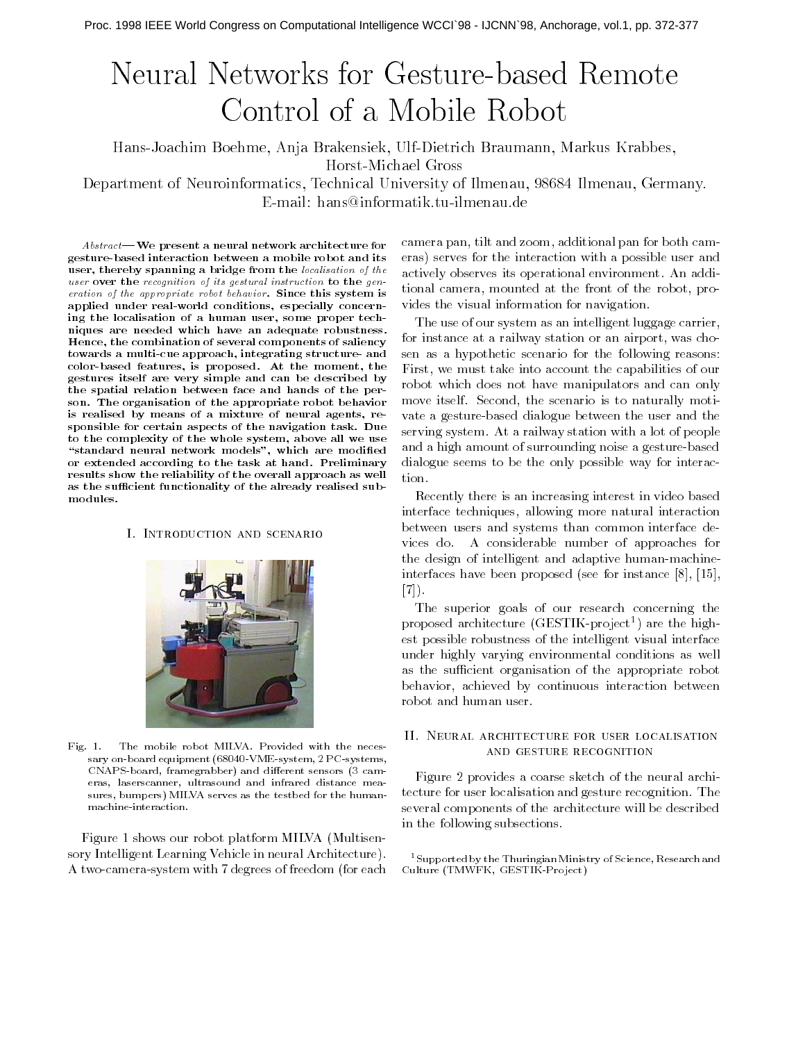# Neural Networks for Gesture-based Remote Control of a Mobile Robot

Hans-Joachim Boehme Anja Brakensiek Ulf-Dietrich Braumann Markus Krabbes

Department of Neuroinformatics, Technical University of Ilmenau, 98684 Ilmenau, Germany.

Abstract-We present a neural network architecture for gesture-based interaction between a mobile robot and its control of the control of the control of the control of the control of the control of the control of the control of the control of the control of the control of the user, thereby spanning a bridge from the localisation of the user over the recognition of its gestural instruction to the generation of the appropriate robot behavior. Since this system is applied under real-distributions especially conditions especially conditions especially conditions  $\mathcal{U}$ ing the localisation of a human user, some proper techniques are needed which have an adequate robustness Hence, the combination of several components of saliency to multi-current control approach integrating structure- and control and control and control and control and c color-based features is proposed At the moment the gestures itself are very simple and can be described by the spatial relation between face and hands of the person. The organisation of the appropriate robot behavior is realised by means of a mixture of neural agents, responsible for certain aspects of the navigation task. Due to the complexity of the whole system, above all we use "standard neural network models", which are modified or extended according to the task at hand. Preliminary results show the reliability of the overall approach as well as the sufficient functionality of the already realised submodules.



 $Fig. 1.$ Figsary on board equipment of the same of the same of the same of the same of the same of the same of the same of CNAPSboard framegrabber and di
erent sensors cam eras laserscanner ultrasound and infrared distance mea sures as the test bumpers as the test bumpers as the test bumpers as the test bumpers as the human serves as t machine-interaction.

Figure - shows our robot platform MILVA Multisen sory Intelligent Learning Vehicle in neural Architecture). A two-camera-system with 7 degrees of freedom (for each

tional camera, mounted at the front of the robot, pro vides the visual information for navigation camera pan, tilt and zoom, additional pan for both cameras) serves for the interaction with a possible user and actively observes its operational environment An addi

 vate a gesturebased dialogue between the user and the The use of our system as an intelligent luggage carrier for instance at a railway station or an airport, was chosen as a hypothetic scenario for the following reasons First, we must take into account the capabilities of our robot which does not have manipulators and can only move itself Second the scenario is to naturally move itself Second the scenario is to naturally motivated in the scenario is to naturally move in the scenario is to naturally move in the scenario is to naturally motivated serving system At a railway station with a lot of people and a high amount of surrounding noise a gesture-based dialogue seems to be the only possible way for interac tion

Recently there is an increasing interest in video based interface techniques, allowing more natural interaction between users and systems than common interface de vices do. A considerable number of approaches for the design of intelligent and adaptive human-machineinterfaces have been proposed see for instance  - 

The superior goals of our research concerning the proposed architecture (GESTIK-project") are the highest possible robustness of the intelligent visual interface under highly varying environmental conditions as well as the sufficient organisation of the appropriate robot behavior, achieved by continuous interaction between robot and human user

## and gesture recognition

Figure 2 provides a coarse sketch of the neural architecture for user localisation and gesture recognition The several components of the architecture will be described in the following subsections

Supported by the Thuringian Ministry of Science Research and culture TMWFK in the set of the set of the set of the set of the set of the set of the set of the set of the s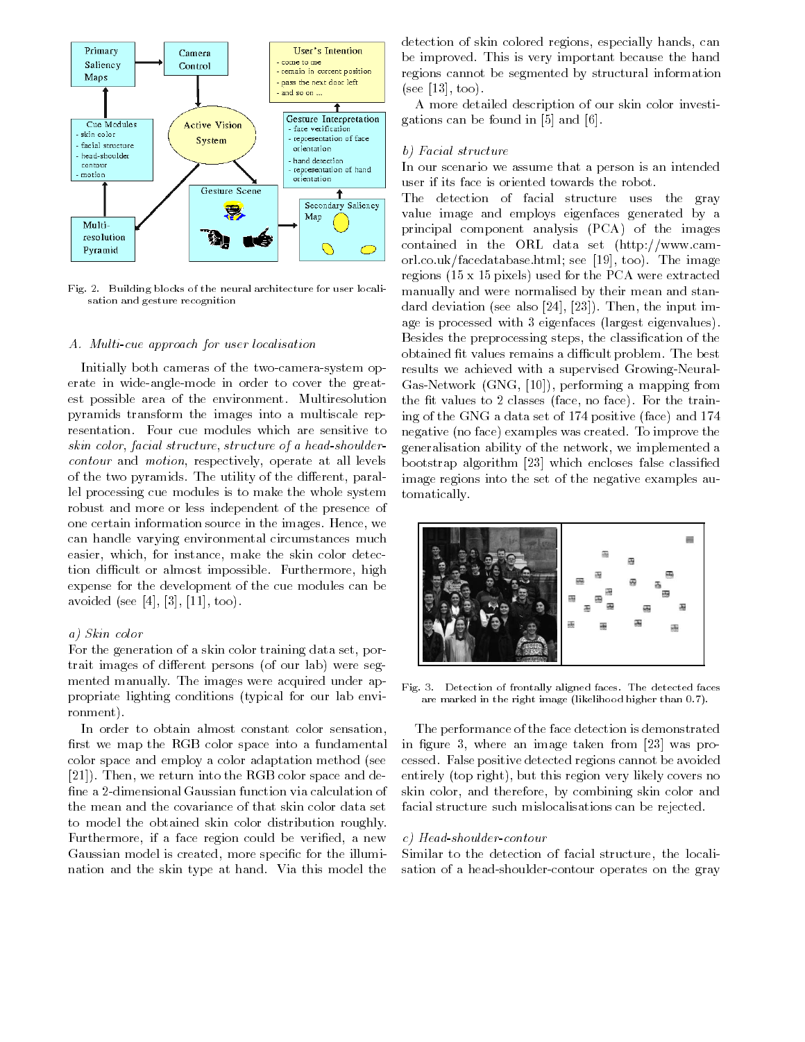

Fig- - Building blocks of the neural architecture for user locali sation and gesture recognition

#### A- Multicue approach for user localisation

Initially both cameras of the two-camera-system operate in wide-angle-mode in order to cover the greatest possible area of the environment. Multiresolution pyramids transform the images into a multiscale rep resentation Four cue modules which are sensitive to skin color, facial structure, structure of a head-shouldercontour and motion, respectively, operate at all levels of the two pyramids. The utility of the different, parallel processing cue modules is to make the whole system robust and more or less independent of the presence of one certain information source in the images Hence we can handle varying environmental circumstances much easier, which, for instance, make the skin color detection difficult or almost impossible. Furthermore, high expense for the development of the cue modules can be avoided see   -- too

#### a) Skin color

For the generation of a skin color training data set, portrait images of different persons (of our lab) were segmented manually The images were acquired under ap propriate lighting conditions (typical for our lab environment).

In order to obtain almost constant color sensation, first we map the RGB color space into a fundamental color space and employ a color adaptation method (see return into the RGB color space and the RGB color space and decreasing the RGB color space and decreasing the fine a 2-dimensional Gaussian function via calculation of the mean and the covariance of that skin color data set to model the obtained skin color distribution roughly Furthermore, if a face region could be verified, a new Gaussian model is created, more specific for the illumination and the skin type at hand. Via this model the

detection of skin colored regions, especially hands, can be improved. This is very important because the hand regions cannot be segmented by structural information  $\mathbf{r}$  to the set of  $\mathbf{r}$  too  $\mathbf{r}$ 

A more detailed description of our skin color investi gations and a constant in particular in the found in  $\mathbb{R}^n$ 

### b) Facial structure

In our scenario we assume that a person is an intended user if its face is oriented towards the robot

The detection of facial structure uses the gray value image and employs eigenfaces generated by a principal component analysis (PCA) of the images contained in the ORL data set  $(http://www.cam$ orloop is to the image of the image of the interest  $\mathcal{A}$  . regions - x - pixels used for the PCA were extracted manually and were normalised by their mean and stan added to the international contract the international contract of the international contract of the international contract of the international contract of the international contract of the international contract of the in age is processed with  $3$  eigenfaces (largest eigenvalues). Besides the preprocessing steps, the classification of the obtained fit values remains a difficult problem. The best results we achieved with a supervised Growing-Neural-Gas Tarribus (The Castle Gas Castle Countries of the Mapping from the Castle Countries of the Castle Countries the fit values to 2 classes (face, no face). For the training of the GNG a data set of - positive face and negative (no face) examples was created. To improve the generalisation ability of the network, we implemented a bootstrap algorithm  which encloses false classied image regions into the set of the negative examples au tomatically



 $F$  aligned faces-dimensionally aligned faces-dimensionally aligned faces-dimensionally aligned faces-dimensionally  $F$ are marked in the right image likelihood higher than --

The performance of the face detection is demonstrated in ogste til manne manninge taken from provinse pro cessed False positive detected regions cannot be avoided entirely (top right), but this region very likely covers no skin color, and therefore, by combining skin color and facial structure such mislocalisations can be rejected

#### c) Head shoulder contour

Similar to the detection of facial structure, the localisation of a head-shoulder-contour operates on the gray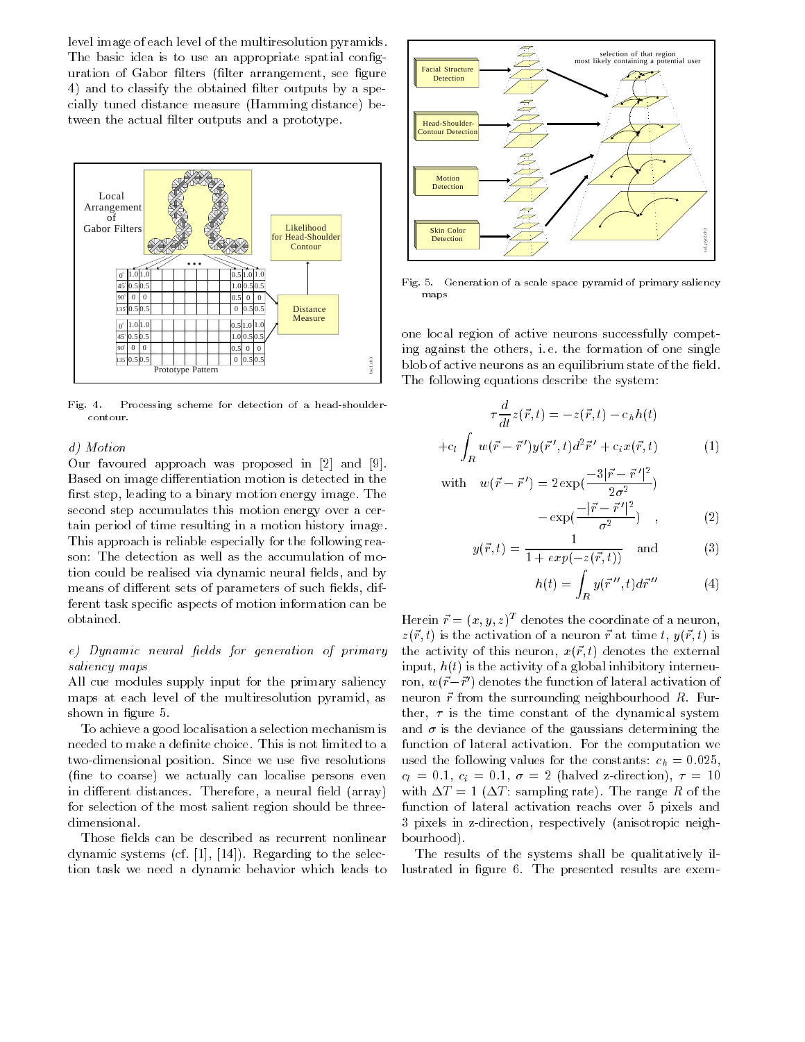level image of each level of the multiresolution pyramids The basic idea is to use an appropriate spatial configuration of Gabor filters (filter arrangement, see figure 4) and to classify the obtained filter outputs by a specially tuned distance measure (Hamming distance) between the actual filter outputs and a prototype.



Processing scheme for detection of a head-shoulder-Fig- contour.

### d) Motion

our favoured and the contract of the contract of the contract of the contract of the contract of the contract of the contract of the contract of the contract of the contract of the contract of the contract of the contract Based on image differentiation motion is detected in the first step, leading to a binary motion energy image. The second step accumulates this motion energy over a cer tain period of time resulting in a motion history image This approach is reliable especially for the following rea son: The detection as well as the accumulation of motion could be realised via dynamic neural fields, and by means of different sets of parameters of such fields, different task specific aspects of motion information can be obtained

### $e)$  Dynamic neural fields for generation of primary saliency maps

All cue modules supply input for the primary saliency maps at each level of the multiresolution pyramid, as shown in figure 5.

To achieve a good localisation a selection mechanism is needed to make a definite choice. This is not limited to a two-dimensional position. Since we use five resolutions (fine to coarse) we actually can localise persons even in different distances. Therefore, a neural field (array) for selection of the most salient region should be three dimensional

Those fields can be described as recurrent nonlinear  $\mathcal{A}$  - and systems controlled to the selection of the selection of the selection of the selection of the selection of the selection of the selection of the selection of the selection of the selection of the selection tion task we need a dynamic behavior which leads to



Fig- - Generation of a scale space pyramid of primary saliency maps

one local region of active neurons successfully compet ing against the others i e the formation of one single blob of active neurons as an equilibrium state of the field. The following equations describe the system 

 $\overline{+}$ 

$$
\tau \frac{d}{dt} z(\vec{r}, t) = -z(\vec{r}, t) - c_h h(t)
$$

$$
c_l \int_R w(\vec{r} - \vec{r}') y(\vec{r}', t) d^2 \vec{r}' + c_i x(\vec{r}, t) \tag{1}
$$

with 
$$
w(\vec{r} - \vec{r}') = 2 \exp(\frac{-3|\vec{r} - \vec{r}'|^2}{2\sigma^2})
$$
  
 $-\exp(\frac{-|\vec{r} - \vec{r}'|^2}{\sigma^2})$ , (2)

$$
y(\vec{r}, t) = \frac{1}{1 + exp(-z(\vec{r}, t))}
$$
 and (3)

$$
h(t) = \int_{R} y(\vec{r}^{\prime\prime}, t) d\vec{r}^{\prime\prime} \tag{4}
$$

Herein  $r = (x, y, z)$  -denotes the coordinate of a neuron,  $\mathcal{F}_t$  is the activation of a neuron  $\mathcal{F}_t$  as the  $\mathcal{F}_t$  is the set the activity of this neuron will be achieved the chicking. input,  $h(t)$  is the activity of a global inhibitory interneuron,  $w(r-r$  ) denotes the function of lateral activation of  $\,$ neuron - neuron - surrounding neighbourhood R Furley - sur ther,  $\tau$  is the time constant of the dynamical system and  $\sigma$  is the deviance of the gaussians determining the function of lateral activation. For the computation we used the following values for the constants:  $c_h = 0.025$ , clift and citation is constant and constantly in the constant of the constant of the constant of the constant of the constant of the constant of the constant of the constant of the constant of the constant of the constant with  $\frac{1}{\sqrt{2}}$  ,  $\frac{1}{\sqrt{2}}$  ,  $\frac{1}{\sqrt{2}}$  ,  $\frac{1}{\sqrt{2}}$  ,  $\frac{1}{\sqrt{2}}$  ,  $\frac{1}{\sqrt{2}}$  ,  $\frac{1}{\sqrt{2}}$  ,  $\frac{1}{\sqrt{2}}$  ,  $\frac{1}{\sqrt{2}}$  ,  $\frac{1}{\sqrt{2}}$  ,  $\frac{1}{\sqrt{2}}$  ,  $\frac{1}{\sqrt{2}}$  ,  $\frac{1}{\sqrt{2}}$  ,  $\frac{1}{\sqrt{2}}$  ,  $\frac{1}{$ function of lateral activation reachs over 5 pixels and 3 pixels in z-direction, respectively (anisotropic neighbourhood

The results of the systems shall be qualitatively il lustrated in figure 6. The presented results are exem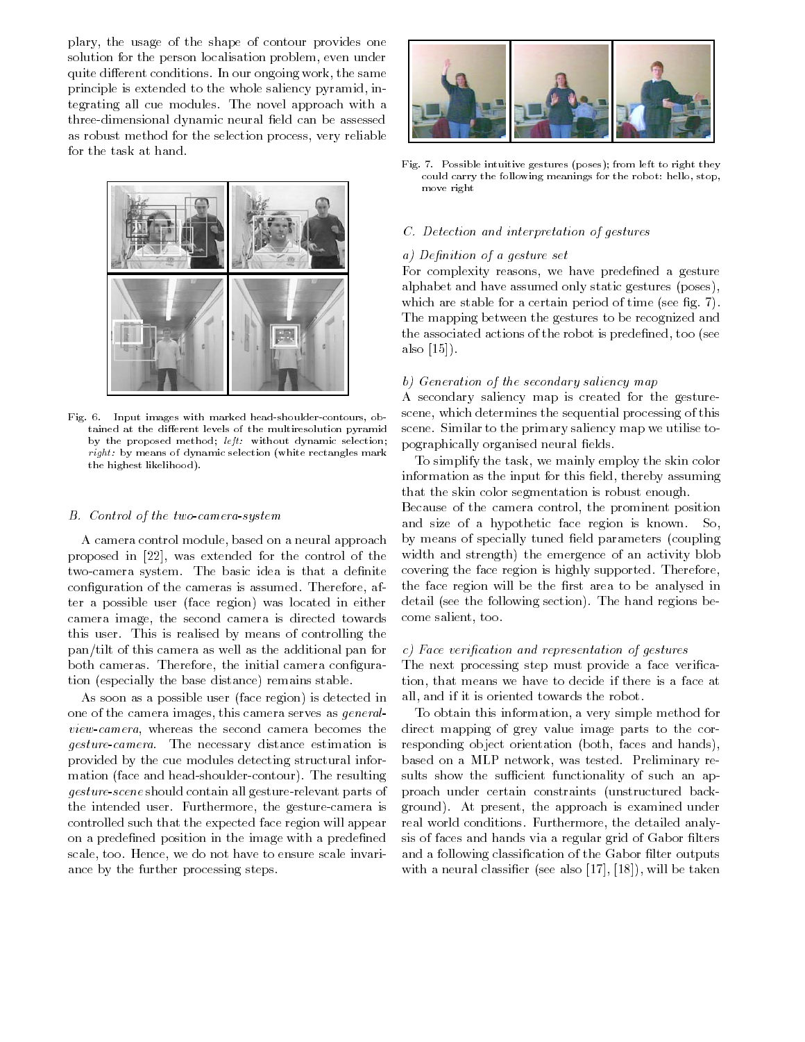plary the usage of the shape of contour provides one solution for the person localisation problem, even under quite different conditions. In our ongoing work, the same principle is extended to the whole saliency pyramid in tegrating all cue modules. The novel approach with a three-dimensional dynamic neural field can be assessed as robust method for the selection process, very reliable for the task at hand



Fig- - Input images with marked headshouldercontours ob tained at the different levels of the multiresolution pyramid by the proposed method;  $left$  without dynamic selection; *right*: by means of dynamic selection (white rectangles mark right by means of dynamic selection white rectangles mants the highest likelihood).

#### B- Control of the twocamerasystem

A camera control module, based on a neural approach proposed in proposed included for the control of the control two-camera system. The basic idea is that a definite configuration of the cameras is assumed. Therefore, after a possible user (face region) was located in either camera image the second camera is directed towards this user This is realised by means of controlling the pan/tilt of this camera as well as the additional pan for both cameras. Therefore, the initial camera configuration (especially the base distance) remains stable.

As soon as a possible user (face region) is detected in one of the camera images, this camera serves as *general* $view\text{-}camera$ , whereas the second camera becomes the gesture-camera. The necessary distance estimation is provided by the cue modules detecting structural infor mation (face and head-shoulder-contour). The resulting gesture scene should contain all gesture-relevant parts of the intended user. Furthermore, the gesture-camera is controlled such that the expected face region will appear on a predefined position in the image with a predefined scale, too. Hence, we do not have to ensure scale invariance by the further processing steps



Fig- - Possible intuitive gestures poses from left to right they cours they the following meanings for the robot hellowing the move rights.

#### C- Detection and interpretation of gestures

#### a) Definition of a gesture set

For complexity reasons, we have predefined a gesture alphabet and have assumed only static gestures (poses). which are stable for a certain period of time (see fig.  $7$ ). The mapping between the gestures to be recognized and the associated actions of the robot is predefined, too (see also -

#### b) Generation of the secondary saliency map

A secondary saliency map is created for the gesture scene, which determines the sequential processing of this scene. Similar to the primary saliency map we utilise topographically organised neural fields.

To simplify the task, we mainly employ the skin color information as the input for this field, thereby assuming that the skin color segmentation is robust enough

Because of the camera control, the prominent position and size of a hypothetic face region is known. So, by means of specially tuned field parameters (coupling width and strength) the emergence of an activity blob covering the face region is highly supported. Therefore, the face region will be the first area to be analysed in detail (see the following section). The hand regions become salient, too.

#### $c)$  Face verification and representation of gestures

The next processing step must provide a face verification, that means we have to decide if there is a face at all, and if it is oriented towards the robot.

To obtain this information a very simple method for direct mapping of grey value image parts to the cor responding object orientation (both, faces and hands), based on a MLP network, was tested. Preliminary results show the sufficient functionality of such an approach under certain constraints (unstructured background). At present, the approach is examined under real world conditions. Furthermore, the detailed analysis of faces and hands via a regular grid of Gabor filters and a following classification of the Gabor filter outputs with a neural classical classical classical classical classical classical classical classical classical classical classical classical classical classical classical classical classical classical classical classical classic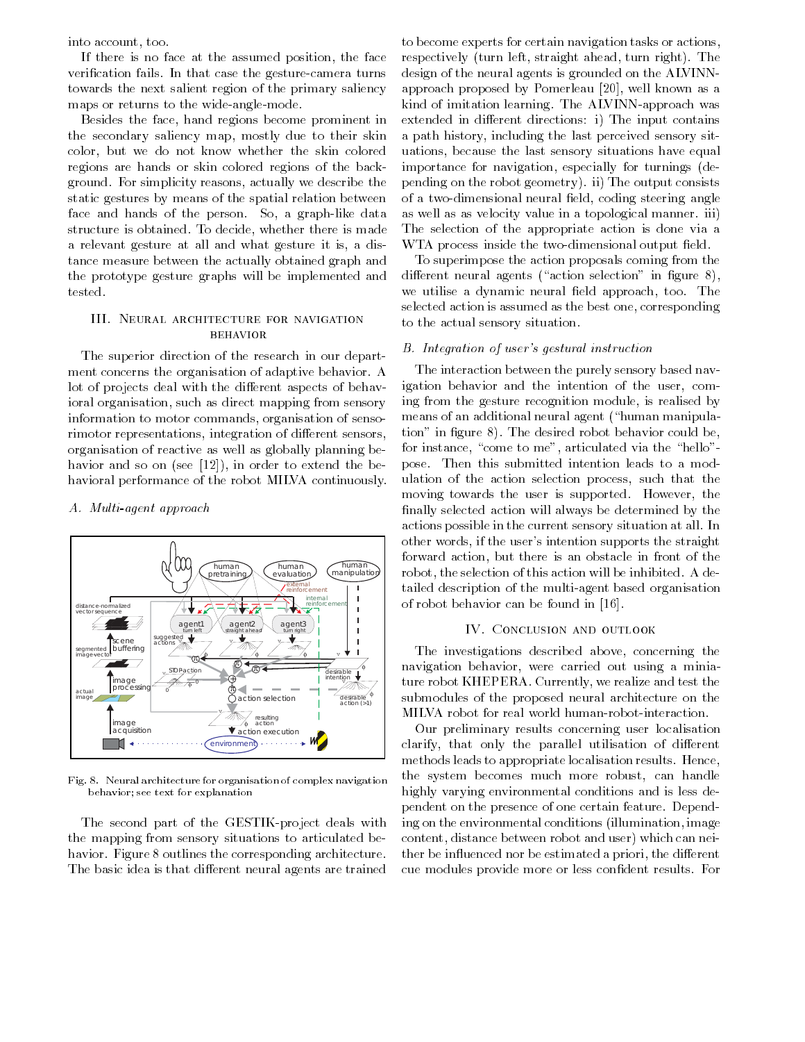into account, too.

If there is no face at the assumed position, the face verification fails. In that case the gesture-camera turns towards the next salient region of the primary saliency maps or returns to the wide-angle-mode.

Besides the face, hand regions become prominent in the secondary saliency map, mostly due to their skin color, but we do not know whether the skin colored regions are hands or skin colored regions of the back ground For simplicity reasons actually we describe the static gestures by means of the spatial relation between of a two-dimensional neural field, coding steering angle face and hands of the person. So, a graph-like data structure is obtained. To decide, whether there is made a relevant gesture at all and what gesture it is, a distance measure between the actually obtained graph and the prototype gesture graphs will be implemented and

## behavior

The superior direction of the research in our depart ment concerns the organisation of adaptive behavior A lot of projects deal with the different aspects of behavioral organisation, such as direct mapping from sensory information to motor commands, organisation of sensorimotor representations, integration of different sensors, organisation of reactive as well as globally planning be havior and so on see all the best so on see all the best so on see all the best so on see all the best sounded havioral performance of the robot MILVA continuously

#### A- Multiagent approach



Fig- - Neural architecture for organisation of complex navigation behavior; see text for explanation

The second part of the GESTIK-project deals with the mapping from sensory situations to articulated be havior. Figure 8 outlines the corresponding architecture. The basic idea is that different neural agents are trained

to become experts for certain navigation tasks or actions respectively (turn left, straight ahead, turn right). The design of the neural agents is grounded on the ALVINN approach proposed by Pomerleau  well known as a kind of imitation learning. The ALVINN-approach was extended in different directions: i) The input contains a path history including the last perceived sensory sit uations, because the last sensory situations have equal importance for navigation, especially for turnings (depending on the robot geometry). ii) The output consists of a twodimensional neural eld coding steering angle as well as as velocity value in a topological manner iii The selection of the appropriate action is done via a WTA process inside the two-dimensional output field.

To superimpose the action proposals coming from the different neural agents ("action selection" in figure  $8$ ), we utilise a dynamic neural field approach, too. The selected action is assumed as the best one, corresponding to the actual sensory situation

#### B- Integration of users gestural instruction

The interaction between the purely sensory based nav igation behavior and the intention of the user, coming from the gesture recognition module, is realised by means of an additional neural agent ("human manipulation" in figure  $8$ ). The desired robot behavior could be, for instance, "come to me", articulated via the "hello"pose. Then this submitted intention leads to a modulation of the action selection process, such that the moving towards the user is supported. However, the finally selected action will always be determined by the actions possible in the current sensory situation at all In other words, if the user's intention supports the straight forward action, but there is an obstacle in front of the robot, the selection of this action will be inhibited. A detailed description of the multi-agent based organisation of robot behavior can be found in the found in the found in the found in the found in the found in the found i

The investigations described above, concerning the navigation behavior, were carried out using a miniature robot KHEPERA. Currently, we realize and test the submodules of the proposed neural architecture on the MILVA robot for real world human-robot-interaction.

Our preliminary results concerning user localisation clarify, that only the parallel utilisation of different methods leads to appropriate localisation results. Hence, the system becomes much more robust, can handle highly varying environmental conditions and is less dependent on the presence of one certain feature. Depending on the environmental conditions (illumination, image content, distance between robot and user) which can neither be influenced nor be estimated a priori, the different cue modules provide more or less confident results. For